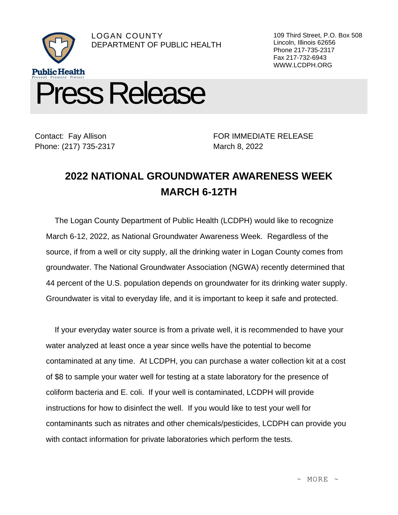

Contact: Fay Allison Phone: (217) 735-2317

FOR IMMEDIATE RELEASE March 8, 2022

109 Third Street, P.O. Box 508

Lincoln, Illinois 62656 Phone 217-735-2317 Fax 217-732-6943 WWW.LCDPH.ORG

## **2022 NATIONAL GROUNDWATER AWARENESS WEEK MARCH 6-12TH**

The Logan County Department of Public Health (LCDPH) would like to recognize March 6-12, 2022, as National Groundwater Awareness Week. Regardless of the source, if from a well or city supply, all the drinking water in Logan County comes from groundwater. The National Groundwater Association (NGWA) recently determined that 44 percent of the U.S. population depends on groundwater for its drinking water supply. Groundwater is vital to everyday life, and it is important to keep it safe and protected.

If your everyday water source is from a private well, it is recommended to have your water analyzed at least once a year since wells have the potential to become contaminated at any time. At LCDPH, you can purchase a water collection kit at a cost of \$8 to sample your water well for testing at a state laboratory for the presence of coliform bacteria and E. coli. If your well is contaminated, LCDPH will provide instructions for how to disinfect the well. If you would like to test your well for contaminants such as nitrates and other chemicals/pesticides, LCDPH can provide you with contact information for private laboratories which perform the tests.